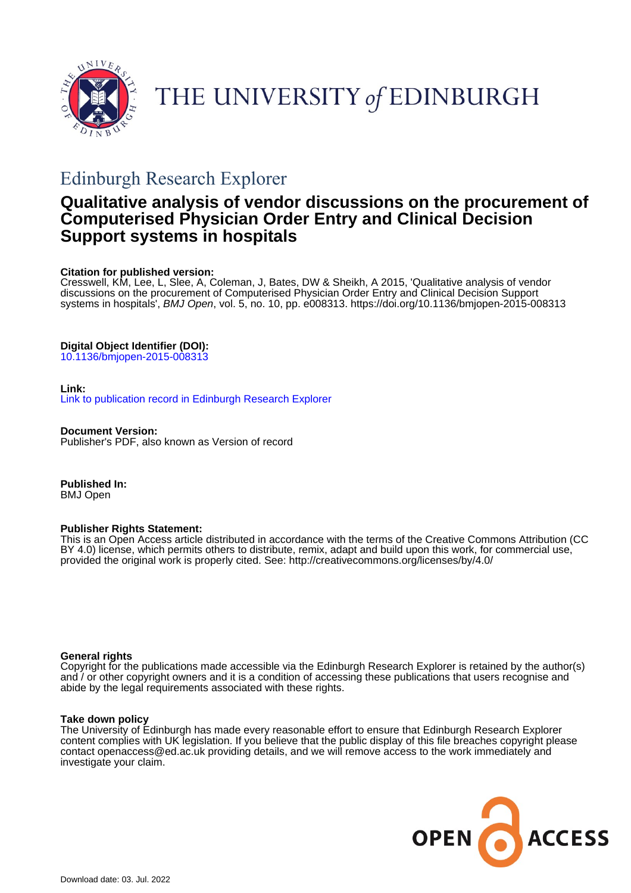

THE UNIVERSITY of EDINBURGH

# Edinburgh Research Explorer

## **Qualitative analysis of vendor discussions on the procurement of Computerised Physician Order Entry and Clinical Decision Support systems in hospitals**

#### **Citation for published version:**

Cresswell, KM, Lee, L, Slee, A, Coleman, J, Bates, DW & Sheikh, A 2015, 'Qualitative analysis of vendor discussions on the procurement of Computerised Physician Order Entry and Clinical Decision Support systems in hospitals', BMJ Open, vol. 5, no. 10, pp. e008313. <https://doi.org/10.1136/bmjopen-2015-008313>

#### **Digital Object Identifier (DOI):**

[10.1136/bmjopen-2015-008313](https://doi.org/10.1136/bmjopen-2015-008313)

#### **Link:**

[Link to publication record in Edinburgh Research Explorer](https://www.research.ed.ac.uk/en/publications/3a22a825-0d91-4d2b-a9fb-34598e33231a)

**Document Version:** Publisher's PDF, also known as Version of record

**Published In:** BMJ Open

#### **Publisher Rights Statement:**

This is an Open Access article distributed in accordance with the terms of the Creative Commons Attribution (CC BY 4.0) license, which permits others to distribute, remix, adapt and build upon this work, for commercial use, provided the original work is properly cited. See: http://creativecommons.org/licenses/by/4.0/

#### **General rights**

Copyright for the publications made accessible via the Edinburgh Research Explorer is retained by the author(s) and / or other copyright owners and it is a condition of accessing these publications that users recognise and abide by the legal requirements associated with these rights.

#### **Take down policy**

The University of Edinburgh has made every reasonable effort to ensure that Edinburgh Research Explorer content complies with UK legislation. If you believe that the public display of this file breaches copyright please contact openaccess@ed.ac.uk providing details, and we will remove access to the work immediately and investigate your claim.

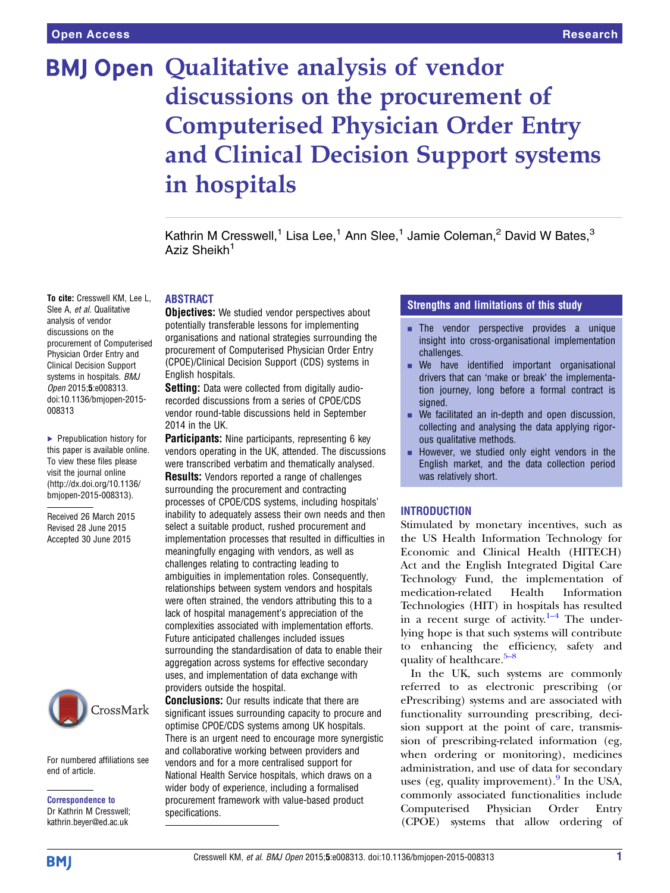# **BMJ Open Qualitative analysis of vendor** discussions on the procurement of Computerised Physician Order Entry and Clinical Decision Support systems in hospitals

Kathrin M Cresswell,<sup>1</sup> Lisa Lee,<sup>1</sup> Ann Slee,<sup>1</sup> Jamie Coleman,<sup>2</sup> David W Bates,<sup>3</sup> Aziz Sheikh<sup>1</sup>

### ABSTRACT

**Objectives:** We studied vendor perspectives about potentially transferable lessons for implementing organisations and national strategies surrounding the procurement of Computerised Physician Order Entry (CPOE)/Clinical Decision Support (CDS) systems in English hospitals.

Setting: Data were collected from digitally audiorecorded discussions from a series of CPOE/CDS vendor round-table discussions held in September 2014 in the UK.

**Participants:** Nine participants, representing 6 key vendors operating in the UK, attended. The discussions were transcribed verbatim and thematically analysed. **Results:** Vendors reported a range of challenges surrounding the procurement and contracting processes of CPOE/CDS systems, including hospitals' inability to adequately assess their own needs and then select a suitable product, rushed procurement and implementation processes that resulted in difficulties in meaningfully engaging with vendors, as well as challenges relating to contracting leading to ambiguities in implementation roles. Consequently, relationships between system vendors and hospitals were often strained, the vendors attributing this to a lack of hospital management's appreciation of the complexities associated with implementation efforts. Future anticipated challenges included issues surrounding the standardisation of data to enable their aggregation across systems for effective secondary uses, and implementation of data exchange with providers outside the hospital.

**Conclusions:** Our results indicate that there are significant issues surrounding capacity to procure and optimise CPOE/CDS systems among UK hospitals. There is an urgent need to encourage more synergistic and collaborative working between providers and vendors and for a more centralised support for National Health Service hospitals, which draws on a wider body of experience, including a formalised procurement framework with value-based product specifications.

#### Strengths and limitations of this study

- $\blacksquare$  The vendor perspective provides a unique insight into cross-organisational implementation challenges.
- **E** We have identified important organisational drivers that can 'make or break' the implementation journey, long before a formal contract is signed.
- $\blacksquare$  We facilitated an in-depth and open discussion, collecting and analysing the data applying rigorous qualitative methods.
- $\blacksquare$  However, we studied only eight vendors in the English market, and the data collection period was relatively short.

#### INTRODUCTION

Stimulated by monetary incentives, such as the US Health Information Technology for Economic and Clinical Health (HITECH) Act and the English Integrated Digital Care Technology Fund, the implementation of medication-related Health Information Technologies (HIT) in hospi[tals](#page-9-0) has resulted in a recent surge of activity. $1-4$  The underlying hope is that such systems will contribute to enhancing the [ef](#page-9-0)ficiency, safety and quality of healthcare.<sup>5–8</sup>

In the UK, such systems are commonly referred to as electronic prescribing (or ePrescribing) systems and are associated with functionality surrounding prescribing, decision support at the point of care, transmission of prescribing-related information (eg, when ordering or monitoring), medicines administration, and use of data for secondary uses (eg, quality improvement).<sup>[9](#page-9-0)</sup> In the USA, commonly associated functionalities include Computerised Physician Order Entry (CPOE) systems that allow ordering of

To cite: Cresswell KM, Lee L, Slee A, et al. Qualitative analysis of vendor discussions on the procurement of Computerised Physician Order Entry and Clinical Decision Support systems in hospitals. BMJ Open 2015;5:e008313. doi:10.1136/bmjopen-2015- 008313

▶ Prepublication history for this paper is available online. To view these files please visit the journal online [\(http://dx.doi.org/10.1136/](http://dx.doi.org/10.1136/bmjopen-2015-008313) [bmjopen-2015-008313](http://dx.doi.org/10.1136/bmjopen-2015-008313)).

Received 26 March 2015 Revised 28 June 2015 Accepted 30 June 2015



For numbered affiliations see end of article.

Correspondence to Dr Kathrin M Cresswell; kathrin.beyer@ed.ac.uk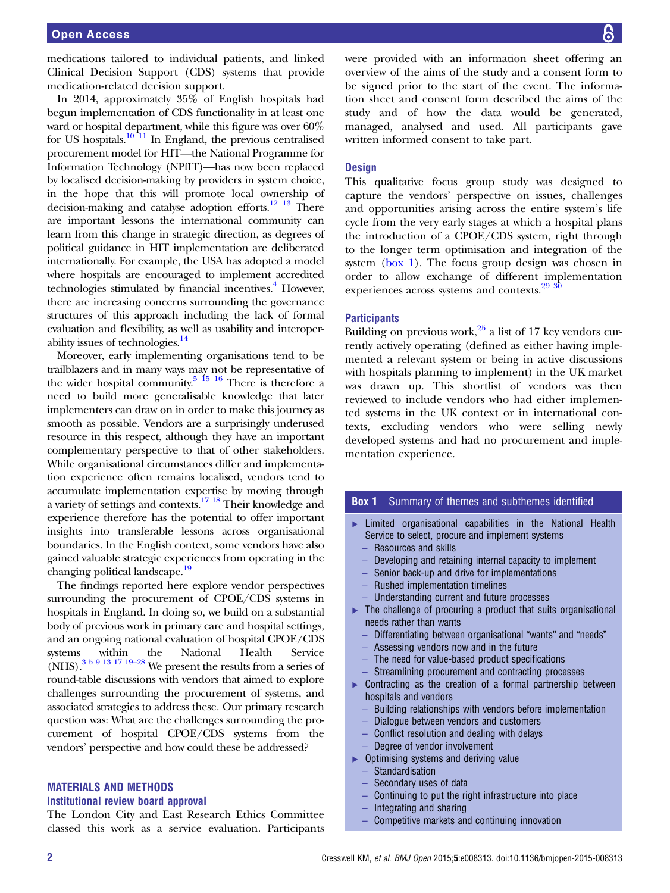<span id="page-2-0"></span>medications tailored to individual patients, and linked Clinical Decision Support (CDS) systems that provide medication-related decision support.

In 2014, approximately 35% of English hospitals had begun implementation of CDS functionality in at least one ward or hospital department, while this figure was over 60% for US hospitals.<sup>10</sup><sup>11</sup> In England, the previous centralised procurement model for HIT—the National Programme for Information Technology (NPfIT)—has now been replaced by localised decision-making by providers in system choice, in the hope that this will promote local ownership of decision-making and catalyse adoption efforts.[12 13](#page-9-0) There are important lessons the international community can learn from this change in strategic direction, as degrees of political guidance in HIT implementation are deliberated internationally. For example, the USA has adopted a model where hospitals are encouraged to implement accredited technologies stimulated by financial incentives.<sup>[4](#page-9-0)</sup> However, there are increasing concerns surrounding the governance structures of this approach including the lack of formal evaluation and flexibility, as well as usability and interoper-ability issues of technologies.<sup>[14](#page-9-0)</sup>

Moreover, early implementing organisations tend to be trailblazers and in many ways may not be representative of the wider hospital community.<sup>5 15</sup> 16 There is therefore a need to build more generalisable knowledge that later implementers can draw on in order to make this journey as smooth as possible. Vendors are a surprisingly underused resource in this respect, although they have an important complementary perspective to that of other stakeholders. While organisational circumstances differ and implementation experience often remains localised, vendors tend to accumulate implementation expertise by moving through a variety of settings and contexts[.17 18](#page-9-0) Their knowledge and experience therefore has the potential to offer important insights into transferable lessons across organisational boundaries. In the English context, some vendors have also gained valuable strategic experiences from operating in the changing political landscape.<sup>[19](#page-9-0)</sup>

The findings reported here explore vendor perspectives surrounding the procurement of CPOE/CDS systems in hospitals in England. In doing so, we build on a substantial body of previous work in primary care and hospital settings, and an ongoing national evaluation of hospital CPOE/CDS systems within the National Health Service (NHS).<sup>[3 5 9 13 17 19](#page-9-0)–28</sup> We present the results from a series of round-table discussions with vendors that aimed to explore challenges surrounding the procurement of systems, and associated strategies to address these. Our primary research question was: What are the challenges surrounding the procurement of hospital CPOE/CDS systems from the vendors' perspective and how could these be addressed?

#### MATERIALS AND METHODS

#### Institutional review board approval

The London City and East Research Ethics Committee classed this work as a service evaluation. Participants were provided with an information sheet offering an overview of the aims of the study and a consent form to be signed prior to the start of the event. The information sheet and consent form described the aims of the study and of how the data would be generated, managed, analysed and used. All participants gave written informed consent to take part.

#### **Design**

This qualitative focus group study was designed to capture the vendors' perspective on issues, challenges and opportunities arising across the entire system's life cycle from the very early stages at which a hospital plans the introduction of a CPOE/CDS system, right through to the longer term optimisation and integration of the system (box 1). The focus group design was chosen in order to allow exchange of different implementation experiences across systems and contexts.<sup>29</sup> <sup>30</sup>

#### **Participants**

Building on previous work, $25$  a list of 17 key vendors currently actively operating (defined as either having implemented a relevant system or being in active discussions with hospitals planning to implement) in the UK market was drawn up. This shortlist of vendors was then reviewed to include vendors who had either implemented systems in the UK context or in international contexts, excluding vendors who were selling newly developed systems and had no procurement and implementation experience.

#### **Box 1** Summary of themes and subthemes identified

- ▸ Limited organisational capabilities in the National Health Service to select, procure and implement systems
	- Resources and skills
	- Developing and retaining internal capacity to implement
	- Senior back-up and drive for implementations
	- Rushed implementation timelines
	- Understanding current and future processes
- ▶ The challenge of procuring a product that suits organisational needs rather than wants
	- Differentiating between organisational "wants" and "needs"
	- Assessing vendors now and in the future
	- The need for value-based product specifications
	- Streamlining procurement and contracting processes
- ▶ Contracting as the creation of a formal partnership between hospitals and vendors
	- Building relationships with vendors before implementation
	- Dialogue between vendors and customers
	- Conflict resolution and dealing with delays
	- Degree of vendor involvement
- ▸ Optimising systems and deriving value
	- **Standardisation**
	- Secondary uses of data
	- Continuing to put the right infrastructure into place
	- Integrating and sharing
	- Competitive markets and continuing innovation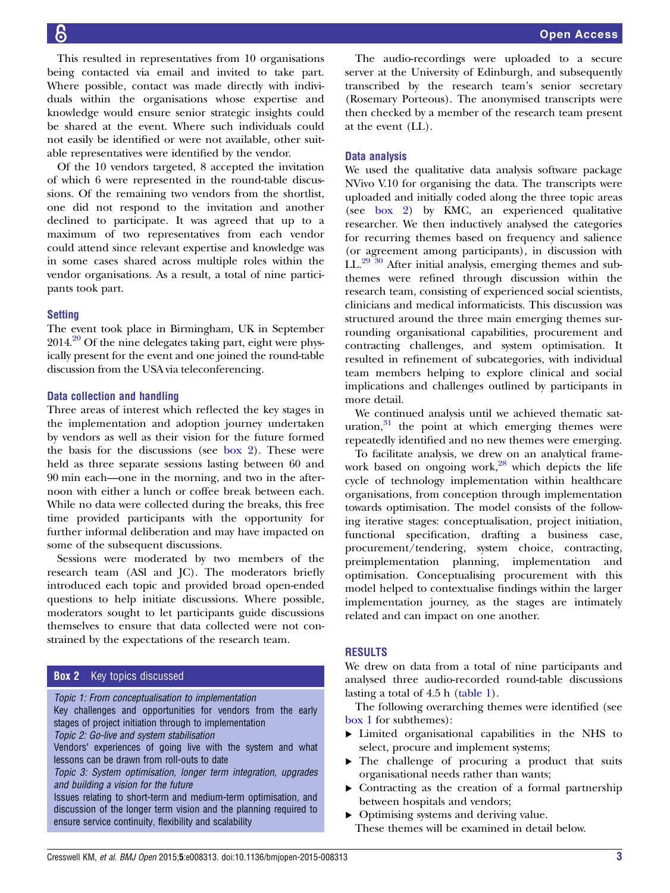This resulted in representatives from 10 organisations being contacted via email and invited to take part. Where possible, contact was made directly with individuals within the organisations whose expertise and knowledge would ensure senior strategic insights could be shared at the event. Where such individuals could not easily be identified or were not available, other suitable representatives were identified by the vendor.

Of the 10 vendors targeted, 8 accepted the invitation of which 6 were represented in the round-table discussions. Of the remaining two vendors from the shortlist, one did not respond to the invitation and another declined to participate. It was agreed that up to a maximum of two representatives from each vendor could attend since relevant expertise and knowledge was in some cases shared across multiple roles within the vendor organisations. As a result, a total of nine participants took part.

#### **Setting**

The event took place in Birmingham, UK in September  $2014.<sup>20</sup>$  Of the nine delegates taking part, eight were physically present for the event and one joined the round-table discussion from the USA via teleconferencing.

#### Data collection and handling

Three areas of interest which reflected the key stages in the implementation and adoption journey undertaken by vendors as well as their vision for the future formed the basis for the discussions (see box 2). These were held as three separate sessions lasting between 60 and 90 min each—one in the morning, and two in the afternoon with either a lunch or coffee break between each. While no data were collected during the breaks, this free time provided participants with the opportunity for further informal deliberation and may have impacted on some of the subsequent discussions.

Sessions were moderated by two members of the research team (ASl and JC). The moderators briefly introduced each topic and provided broad open-ended questions to help initiate discussions. Where possible, moderators sought to let participants guide discussions themselves to ensure that data collected were not constrained by the expectations of the research team.

#### **Box 2** Key topics discussed

Topic 1: From conceptualisation to implementation

Key challenges and opportunities for vendors from the early stages of project initiation through to implementation

Topic 2: Go-live and system stabilisation

Vendors' experiences of going live with the system and what lessons can be drawn from roll-outs to date

Topic 3: System optimisation, longer term integration, upgrades and building a vision for the future

Issues relating to short-term and medium-term optimisation, and discussion of the longer term vision and the planning required to ensure service continuity, flexibility and scalability

The audio-recordings were uploaded to a secure server at the University of Edinburgh, and subsequently transcribed by the research team's senior secretary (Rosemary Porteous). The anonymised transcripts were then checked by a member of the research team present at the event (LL).

#### Data analysis

We used the qualitative data analysis software package NVivo V.10 for organising the data. The transcripts were uploaded and initially coded along the three topic areas (see box 2) by KMC, an experienced qualitative researcher. We then inductively analysed the categories for recurring themes based on frequency and salience (or agreement among participants), in discussion with LL.[29 30](#page-9-0) After initial analysis, emerging themes and subthemes were refined through discussion within the research team, consisting of experienced social scientists, clinicians and medical informaticists. This discussion was structured around the three main emerging themes surrounding organisational capabilities, procurement and contracting challenges, and system optimisation. It resulted in refinement of subcategories, with individual team members helping to explore clinical and social implications and challenges outlined by participants in more detail.

We continued analysis until we achieved thematic saturation, $31$  the point at which emerging themes were repeatedly identified and no new themes were emerging.

To facilitate analysis, we drew on an analytical framework based on ongoing work, $28$  which depicts the life cycle of technology implementation within healthcare organisations, from conception through implementation towards optimisation. The model consists of the following iterative stages: conceptualisation, project initiation, functional specification, drafting a business case, procurement/tendering, system choice, contracting, preimplementation planning, implementation and optimisation. Conceptualising procurement with this model helped to contextualise findings within the larger implementation journey, as the stages are intimately related and can impact on one another.

#### RESULTS

We drew on data from a total of nine participants and analysed three audio-recorded round-table discussions lasting a total of 4.5 h ([table 1\)](#page-4-0).

The following overarching themes were identified (see [box 1](#page-2-0) for subthemes):

- ▸ Limited organisational capabilities in the NHS to select, procure and implement systems;
- The challenge of procuring a product that suits organisational needs rather than wants;
- ▸ Contracting as the creation of a formal partnership between hospitals and vendors;
- ▸ Optimising systems and deriving value. These themes will be examined in detail below.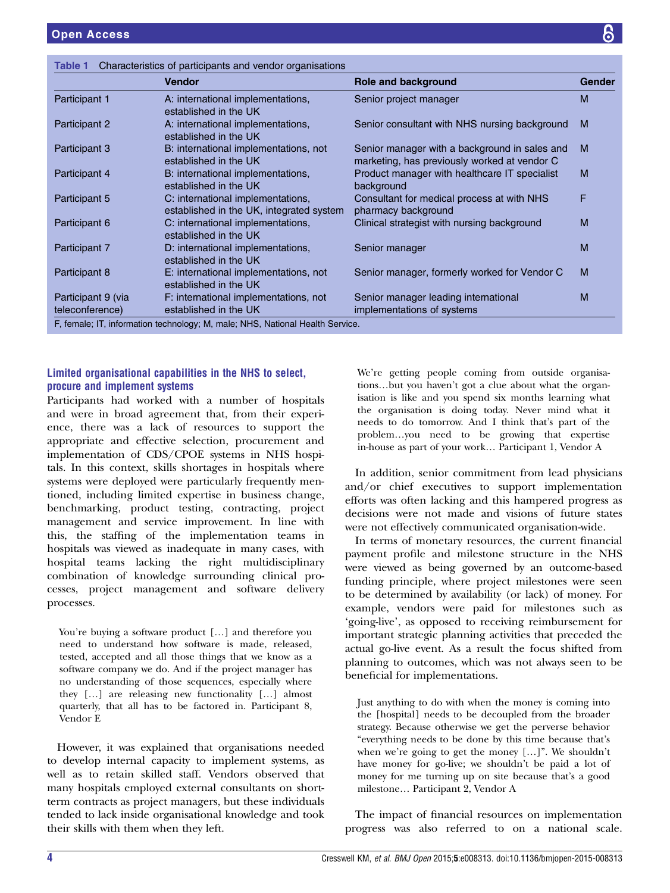<span id="page-4-0"></span>

| Characteristics of participants and vendor organisations<br>Table 1 |                                                                               |                                                                                               |               |
|---------------------------------------------------------------------|-------------------------------------------------------------------------------|-----------------------------------------------------------------------------------------------|---------------|
|                                                                     | <b>Vendor</b>                                                                 | Role and background                                                                           | <b>Gender</b> |
| Participant 1                                                       | A: international implementations,<br>established in the UK                    | Senior project manager                                                                        | M             |
| Participant 2                                                       | A: international implementations,<br>established in the UK                    | Senior consultant with NHS nursing background                                                 | м             |
| Participant 3                                                       | B: international implementations, not<br>established in the UK                | Senior manager with a background in sales and<br>marketing, has previously worked at vendor C | M             |
| Participant 4                                                       | B: international implementations,<br>established in the UK                    | Product manager with healthcare IT specialist<br>background                                   | M             |
| Participant 5                                                       | C: international implementations,<br>established in the UK, integrated system | Consultant for medical process at with NHS<br>pharmacy background                             | F             |
| Participant 6                                                       | C: international implementations,<br>established in the UK                    | Clinical strategist with nursing background                                                   | M             |
| Participant 7                                                       | D: international implementations,<br>established in the UK                    | Senior manager                                                                                | M             |
| Participant 8                                                       | E: international implementations, not<br>established in the UK                | Senior manager, formerly worked for Vendor C                                                  | м             |
| Participant 9 (via<br>teleconference)                               | F: international implementations, not<br>established in the UK                | Senior manager leading international<br>implementations of systems                            | м             |
|                                                                     | F, female; IT, information technology; M, male; NHS, National Health Service. |                                                                                               |               |

#### Limited organisational capabilities in the NHS to select, procure and implement systems

Participants had worked with a number of hospitals and were in broad agreement that, from their experience, there was a lack of resources to support the appropriate and effective selection, procurement and implementation of CDS/CPOE systems in NHS hospitals. In this context, skills shortages in hospitals where systems were deployed were particularly frequently mentioned, including limited expertise in business change, benchmarking, product testing, contracting, project management and service improvement. In line with this, the staffing of the implementation teams in hospitals was viewed as inadequate in many cases, with hospital teams lacking the right multidisciplinary combination of knowledge surrounding clinical processes, project management and software delivery processes.

You're buying a software product […] and therefore you need to understand how software is made, released, tested, accepted and all those things that we know as a software company we do. And if the project manager has no understanding of those sequences, especially where they […] are releasing new functionality […] almost quarterly, that all has to be factored in. Participant 8, Vendor E

However, it was explained that organisations needed to develop internal capacity to implement systems, as well as to retain skilled staff. Vendors observed that many hospitals employed external consultants on shortterm contracts as project managers, but these individuals tended to lack inside organisational knowledge and took their skills with them when they left.

We're getting people coming from outside organisations…but you haven't got a clue about what the organisation is like and you spend six months learning what the organisation is doing today. Never mind what it needs to do tomorrow. And I think that's part of the problem…you need to be growing that expertise in-house as part of your work… Participant 1, Vendor A

In addition, senior commitment from lead physicians and/or chief executives to support implementation efforts was often lacking and this hampered progress as decisions were not made and visions of future states were not effectively communicated organisation-wide.

In terms of monetary resources, the current financial payment profile and milestone structure in the NHS were viewed as being governed by an outcome-based funding principle, where project milestones were seen to be determined by availability (or lack) of money. For example, vendors were paid for milestones such as 'going-live', as opposed to receiving reimbursement for important strategic planning activities that preceded the actual go-live event. As a result the focus shifted from planning to outcomes, which was not always seen to be beneficial for implementations.

Just anything to do with when the money is coming into the [hospital] needs to be decoupled from the broader strategy. Because otherwise we get the perverse behavior "everything needs to be done by this time because that's when we're going to get the money […]". We shouldn't have money for go-live; we shouldn't be paid a lot of money for me turning up on site because that's a good milestone… Participant 2, Vendor A

The impact of financial resources on implementation progress was also referred to on a national scale.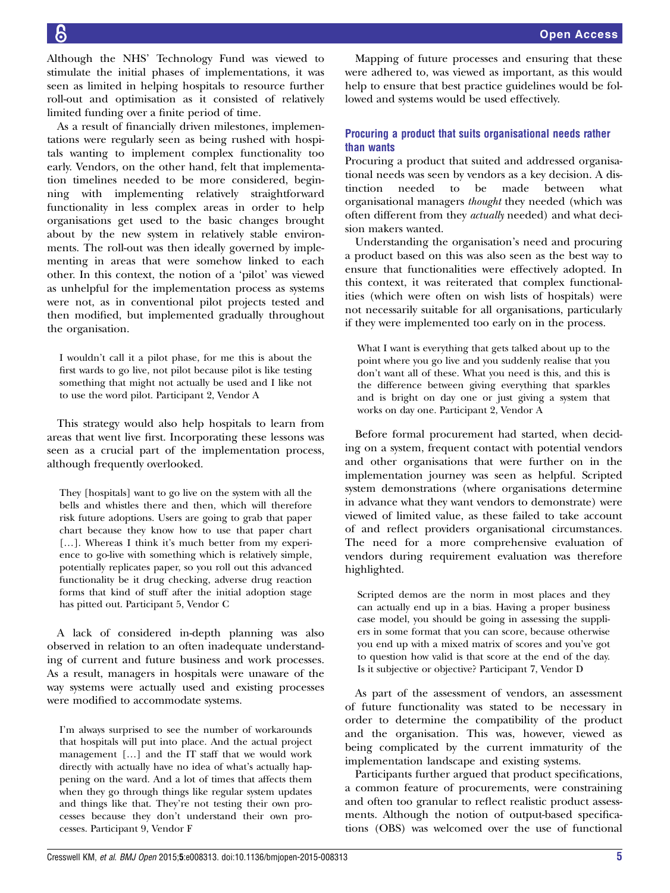Although the NHS' Technology Fund was viewed to stimulate the initial phases of implementations, it was seen as limited in helping hospitals to resource further roll-out and optimisation as it consisted of relatively limited funding over a finite period of time.

As a result of financially driven milestones, implementations were regularly seen as being rushed with hospitals wanting to implement complex functionality too early. Vendors, on the other hand, felt that implementation timelines needed to be more considered, beginning with implementing relatively straightforward functionality in less complex areas in order to help organisations get used to the basic changes brought about by the new system in relatively stable environments. The roll-out was then ideally governed by implementing in areas that were somehow linked to each other. In this context, the notion of a 'pilot' was viewed as unhelpful for the implementation process as systems were not, as in conventional pilot projects tested and then modified, but implemented gradually throughout the organisation.

I wouldn't call it a pilot phase, for me this is about the first wards to go live, not pilot because pilot is like testing something that might not actually be used and I like not to use the word pilot. Participant 2, Vendor A

This strategy would also help hospitals to learn from areas that went live first. Incorporating these lessons was seen as a crucial part of the implementation process, although frequently overlooked.

They [hospitals] want to go live on the system with all the bells and whistles there and then, which will therefore risk future adoptions. Users are going to grab that paper chart because they know how to use that paper chart [...]. Whereas I think it's much better from my experience to go-live with something which is relatively simple, potentially replicates paper, so you roll out this advanced functionality be it drug checking, adverse drug reaction forms that kind of stuff after the initial adoption stage has pitted out. Participant 5, Vendor C

A lack of considered in-depth planning was also observed in relation to an often inadequate understanding of current and future business and work processes. As a result, managers in hospitals were unaware of the way systems were actually used and existing processes were modified to accommodate systems.

I'm always surprised to see the number of workarounds that hospitals will put into place. And the actual project management […] and the IT staff that we would work directly with actually have no idea of what's actually happening on the ward. And a lot of times that affects them when they go through things like regular system updates and things like that. They're not testing their own processes because they don't understand their own processes. Participant 9, Vendor F

Mapping of future processes and ensuring that these were adhered to, was viewed as important, as this would help to ensure that best practice guidelines would be followed and systems would be used effectively.

#### Procuring a product that suits organisational needs rather than wants

Procuring a product that suited and addressed organisational needs was seen by vendors as a key decision. A distinction needed to be made between what organisational managers thought they needed (which was often different from they actually needed) and what decision makers wanted.

Understanding the organisation's need and procuring a product based on this was also seen as the best way to ensure that functionalities were effectively adopted. In this context, it was reiterated that complex functionalities (which were often on wish lists of hospitals) were not necessarily suitable for all organisations, particularly if they were implemented too early on in the process.

What I want is everything that gets talked about up to the point where you go live and you suddenly realise that you don't want all of these. What you need is this, and this is the difference between giving everything that sparkles and is bright on day one or just giving a system that works on day one. Participant 2, Vendor A

Before formal procurement had started, when deciding on a system, frequent contact with potential vendors and other organisations that were further on in the implementation journey was seen as helpful. Scripted system demonstrations (where organisations determine in advance what they want vendors to demonstrate) were viewed of limited value, as these failed to take account of and reflect providers organisational circumstances. The need for a more comprehensive evaluation of vendors during requirement evaluation was therefore highlighted.

Scripted demos are the norm in most places and they can actually end up in a bias. Having a proper business case model, you should be going in assessing the suppliers in some format that you can score, because otherwise you end up with a mixed matrix of scores and you've got to question how valid is that score at the end of the day. Is it subjective or objective? Participant 7, Vendor D

As part of the assessment of vendors, an assessment of future functionality was stated to be necessary in order to determine the compatibility of the product and the organisation. This was, however, viewed as being complicated by the current immaturity of the implementation landscape and existing systems.

Participants further argued that product specifications, a common feature of procurements, were constraining and often too granular to reflect realistic product assessments. Although the notion of output-based specifications (OBS) was welcomed over the use of functional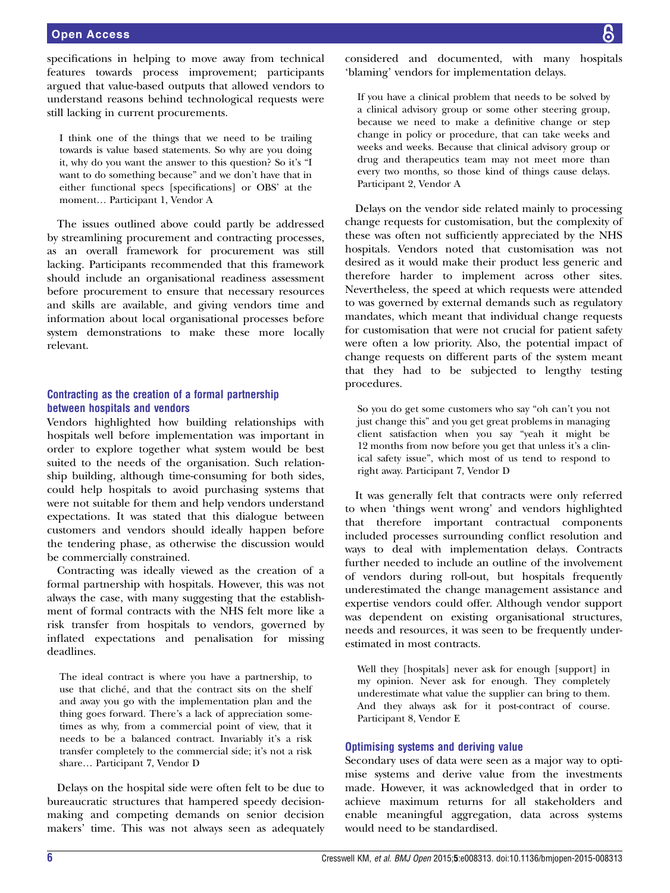#### Open Access

specifications in helping to move away from technical features towards process improvement; participants argued that value-based outputs that allowed vendors to understand reasons behind technological requests were still lacking in current procurements.

I think one of the things that we need to be trailing towards is value based statements. So why are you doing it, why do you want the answer to this question? So it's "I want to do something because" and we don't have that in either functional specs [specifications] or OBS' at the moment… Participant 1, Vendor A

The issues outlined above could partly be addressed by streamlining procurement and contracting processes, as an overall framework for procurement was still lacking. Participants recommended that this framework should include an organisational readiness assessment before procurement to ensure that necessary resources and skills are available, and giving vendors time and information about local organisational processes before system demonstrations to make these more locally relevant.

#### Contracting as the creation of a formal partnership between hospitals and vendors

Vendors highlighted how building relationships with hospitals well before implementation was important in order to explore together what system would be best suited to the needs of the organisation. Such relationship building, although time-consuming for both sides, could help hospitals to avoid purchasing systems that were not suitable for them and help vendors understand expectations. It was stated that this dialogue between customers and vendors should ideally happen before the tendering phase, as otherwise the discussion would be commercially constrained.

Contracting was ideally viewed as the creation of a formal partnership with hospitals. However, this was not always the case, with many suggesting that the establishment of formal contracts with the NHS felt more like a risk transfer from hospitals to vendors, governed by inflated expectations and penalisation for missing deadlines.

The ideal contract is where you have a partnership, to use that cliché, and that the contract sits on the shelf and away you go with the implementation plan and the thing goes forward. There's a lack of appreciation sometimes as why, from a commercial point of view, that it needs to be a balanced contract. Invariably it's a risk transfer completely to the commercial side; it's not a risk share… Participant 7, Vendor D

Delays on the hospital side were often felt to be due to bureaucratic structures that hampered speedy decisionmaking and competing demands on senior decision makers' time. This was not always seen as adequately

considered and documented, with many hospitals 'blaming' vendors for implementation delays.

If you have a clinical problem that needs to be solved by a clinical advisory group or some other steering group, because we need to make a definitive change or step change in policy or procedure, that can take weeks and weeks and weeks. Because that clinical advisory group or drug and therapeutics team may not meet more than every two months, so those kind of things cause delays. Participant 2, Vendor A

Delays on the vendor side related mainly to processing change requests for customisation, but the complexity of these was often not sufficiently appreciated by the NHS hospitals. Vendors noted that customisation was not desired as it would make their product less generic and therefore harder to implement across other sites. Nevertheless, the speed at which requests were attended to was governed by external demands such as regulatory mandates, which meant that individual change requests for customisation that were not crucial for patient safety were often a low priority. Also, the potential impact of change requests on different parts of the system meant that they had to be subjected to lengthy testing procedures.

So you do get some customers who say "oh can't you not just change this" and you get great problems in managing client satisfaction when you say "yeah it might be 12 months from now before you get that unless it's a clinical safety issue", which most of us tend to respond to right away. Participant 7, Vendor D

It was generally felt that contracts were only referred to when 'things went wrong' and vendors highlighted that therefore important contractual components included processes surrounding conflict resolution and ways to deal with implementation delays. Contracts further needed to include an outline of the involvement of vendors during roll-out, but hospitals frequently underestimated the change management assistance and expertise vendors could offer. Although vendor support was dependent on existing organisational structures, needs and resources, it was seen to be frequently underestimated in most contracts.

Well they [hospitals] never ask for enough [support] in my opinion. Never ask for enough. They completely underestimate what value the supplier can bring to them. And they always ask for it post-contract of course. Participant 8, Vendor E

#### Optimising systems and deriving value

Secondary uses of data were seen as a major way to optimise systems and derive value from the investments made. However, it was acknowledged that in order to achieve maximum returns for all stakeholders and enable meaningful aggregation, data across systems would need to be standardised.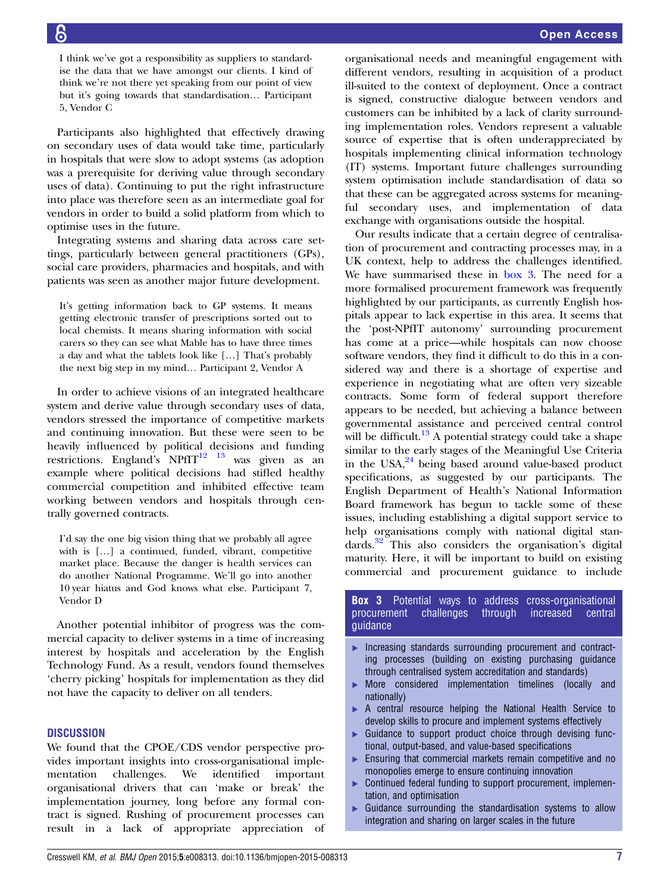I think we've got a responsibility as suppliers to standardise the data that we have amongst our clients. I kind of think we're not there yet speaking from our point of view but it's going towards that standardisation… Participant 5, Vendor C

Participants also highlighted that effectively drawing on secondary uses of data would take time, particularly in hospitals that were slow to adopt systems (as adoption was a prerequisite for deriving value through secondary uses of data). Continuing to put the right infrastructure into place was therefore seen as an intermediate goal for vendors in order to build a solid platform from which to optimise uses in the future.

Integrating systems and sharing data across care settings, particularly between general practitioners (GPs), social care providers, pharmacies and hospitals, and with patients was seen as another major future development.

It's getting information back to GP systems. It means getting electronic transfer of prescriptions sorted out to local chemists. It means sharing information with social carers so they can see what Mable has to have three times a day and what the tablets look like […] That's probably the next big step in my mind… Participant 2, Vendor A

In order to achieve visions of an integrated healthcare system and derive value through secondary uses of data, vendors stressed the importance of competitive markets and continuing innovation. But these were seen to be heavily influenced by political decisions and funding restrictions. England's  $NPfIT^{12}$  <sup>13</sup> was given as an example where political decisions had stifled healthy commercial competition and inhibited effective team working between vendors and hospitals through centrally governed contracts.

I'd say the one big vision thing that we probably all agree with is [...] a continued, funded, vibrant, competitive market place. Because the danger is health services can do another National Programme. We'll go into another 10 year hiatus and God knows what else. Participant 7, Vendor D

Another potential inhibitor of progress was the commercial capacity to deliver systems in a time of increasing interest by hospitals and acceleration by the English Technology Fund. As a result, vendors found themselves 'cherry picking' hospitals for implementation as they did not have the capacity to deliver on all tenders.

#### **DISCUSSION**

We found that the CPOE/CDS vendor perspective provides important insights into cross-organisational implementation challenges. We identified important organisational drivers that can 'make or break' the implementation journey, long before any formal contract is signed. Rushing of procurement processes can result in a lack of appropriate appreciation of

organisational needs and meaningful engagement with different vendors, resulting in acquisition of a product ill-suited to the context of deployment. Once a contract is signed, constructive dialogue between vendors and customers can be inhibited by a lack of clarity surrounding implementation roles. Vendors represent a valuable source of expertise that is often underappreciated by hospitals implementing clinical information technology (IT) systems. Important future challenges surrounding system optimisation include standardisation of data so that these can be aggregated across systems for meaningful secondary uses, and implementation of data exchange with organisations outside the hospital.

Our results indicate that a certain degree of centralisation of procurement and contracting processes may, in a UK context, help to address the challenges identified. We have summarised these in box 3. The need for a more formalised procurement framework was frequently highlighted by our participants, as currently English hospitals appear to lack expertise in this area. It seems that the 'post-NPfIT autonomy' surrounding procurement has come at a price—while hospitals can now choose software vendors, they find it difficult to do this in a considered way and there is a shortage of expertise and experience in negotiating what are often very sizeable contracts. Some form of federal support therefore appears to be needed, but achieving a balance between governmental assistance and perceived central control will be difficult.<sup>[13](#page-9-0)</sup> A potential strategy could take a shape similar to the early stages of the Meaningful Use Criteria in the  $USA^{24}$  $USA^{24}$  $USA^{24}$  being based around value-based product specifications, as suggested by our participants. The English Department of Health's National Information Board framework has begun to tackle some of these issues, including establishing a digital support service to help organisations comply with national digital standards[.32](#page-9-0) This also considers the organisation's digital maturity. Here, it will be important to build on existing commercial and procurement guidance to include

#### **Box 3** Potential ways to address cross-organisational procurement challenges through increased central guidance

- ▸ Increasing standards surrounding procurement and contracting processes (building on existing purchasing guidance through centralised system accreditation and standards)
- ▸ More considered implementation timelines (locally and nationally)
- ▸ A central resource helping the National Health Service to develop skills to procure and implement systems effectively
- Guidance to support product choice through devising functional, output-based, and value-based specifications
- ▶ Ensuring that commercial markets remain competitive and no monopolies emerge to ensure continuing innovation
- Continued federal funding to support procurement, implementation, and optimisation
- Guidance surrounding the standardisation systems to allow integration and sharing on larger scales in the future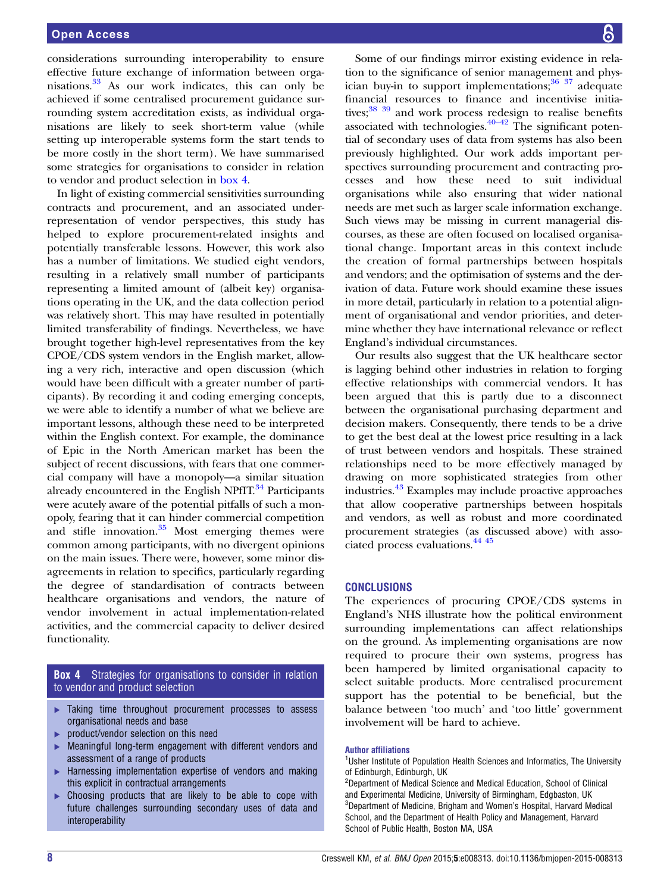considerations surrounding interoperability to ensure effective future exchange of information between organisations.[33](#page-9-0) As our work indicates, this can only be achieved if some centralised procurement guidance surrounding system accreditation exists, as individual organisations are likely to seek short-term value (while setting up interoperable systems form the start tends to be more costly in the short term). We have summarised some strategies for organisations to consider in relation to vendor and product selection in box 4.

In light of existing commercial sensitivities surrounding contracts and procurement, and an associated underrepresentation of vendor perspectives, this study has helped to explore procurement-related insights and potentially transferable lessons. However, this work also has a number of limitations. We studied eight vendors, resulting in a relatively small number of participants representing a limited amount of (albeit key) organisations operating in the UK, and the data collection period was relatively short. This may have resulted in potentially limited transferability of findings. Nevertheless, we have brought together high-level representatives from the key CPOE/CDS system vendors in the English market, allowing a very rich, interactive and open discussion (which would have been difficult with a greater number of participants). By recording it and coding emerging concepts, we were able to identify a number of what we believe are important lessons, although these need to be interpreted within the English context. For example, the dominance of Epic in the North American market has been the subject of recent discussions, with fears that one commercial company will have a monopoly—a similar situation already encountered in the English NPfIT. $34$  Participants were acutely aware of the potential pitfalls of such a monopoly, fearing that it can hinder commercial competition and stifle innovation.<sup>[35](#page-9-0)</sup> Most emerging themes were common among participants, with no divergent opinions on the main issues. There were, however, some minor disagreements in relation to specifics, particularly regarding the degree of standardisation of contracts between healthcare organisations and vendors, the nature of vendor involvement in actual implementation-related activities, and the commercial capacity to deliver desired functionality.

#### **Box 4** Strategies for organisations to consider in relation to vendor and product selection

- ▸ Taking time throughout procurement processes to assess organisational needs and base
- ▸ product/vendor selection on this need
- Meaningful long-term engagement with different vendors and assessment of a range of products
- ▸ Harnessing implementation expertise of vendors and making this explicit in contractual arrangements
- Choosing products that are likely to be able to cope with future challenges surrounding secondary uses of data and interoperability

Some of our findings mirror existing evidence in relation to the significance of senior management and physician buy-in to support implementations; $36 \frac{37}{27}$  $36 \frac{37}{27}$  adequate financial resources to finance and incentivise initiatives;<sup>38</sup> 39 and work process redesign to realise benefits associated with technologies. $40-42$  $40-42$  The significant potential of secondary uses of data from systems has also been previously highlighted. Our work adds important perspectives surrounding procurement and contracting processes and how these need to suit individual organisations while also ensuring that wider national needs are met such as larger scale information exchange. Such views may be missing in current managerial discourses, as these are often focused on localised organisational change. Important areas in this context include the creation of formal partnerships between hospitals and vendors; and the optimisation of systems and the derivation of data. Future work should examine these issues in more detail, particularly in relation to a potential alignment of organisational and vendor priorities, and determine whether they have international relevance or reflect England's individual circumstances.

Our results also suggest that the UK healthcare sector is lagging behind other industries in relation to forging effective relationships with commercial vendors. It has been argued that this is partly due to a disconnect between the organisational purchasing department and decision makers. Consequently, there tends to be a drive to get the best deal at the lowest price resulting in a lack of trust between vendors and hospitals. These strained relationships need to be more effectively managed by drawing on more sophisticated strategies from other industries.[43](#page-10-0) Examples may include proactive approaches that allow cooperative partnerships between hospitals and vendors, as well as robust and more coordinated procurement strategies (as discussed above) with associated process evaluations.[44 45](#page-10-0)

#### **CONCLUSIONS**

The experiences of procuring CPOE/CDS systems in England's NHS illustrate how the political environment surrounding implementations can affect relationships on the ground. As implementing organisations are now required to procure their own systems, progress has been hampered by limited organisational capacity to select suitable products. More centralised procurement support has the potential to be beneficial, but the balance between 'too much' and 'too little' government involvement will be hard to achieve.

#### Author affiliations

<sup>1</sup>Usher Institute of Population Health Sciences and Informatics, The University of Edinburgh, Edinburgh, UK

<sup>2</sup>Department of Medical Science and Medical Education, School of Clinical and Experimental Medicine, University of Birmingham, Edgbaston, UK 3 Department of Medicine, Brigham and Women's Hospital, Harvard Medical School, and the Department of Health Policy and Management, Harvard School of Public Health, Boston MA, USA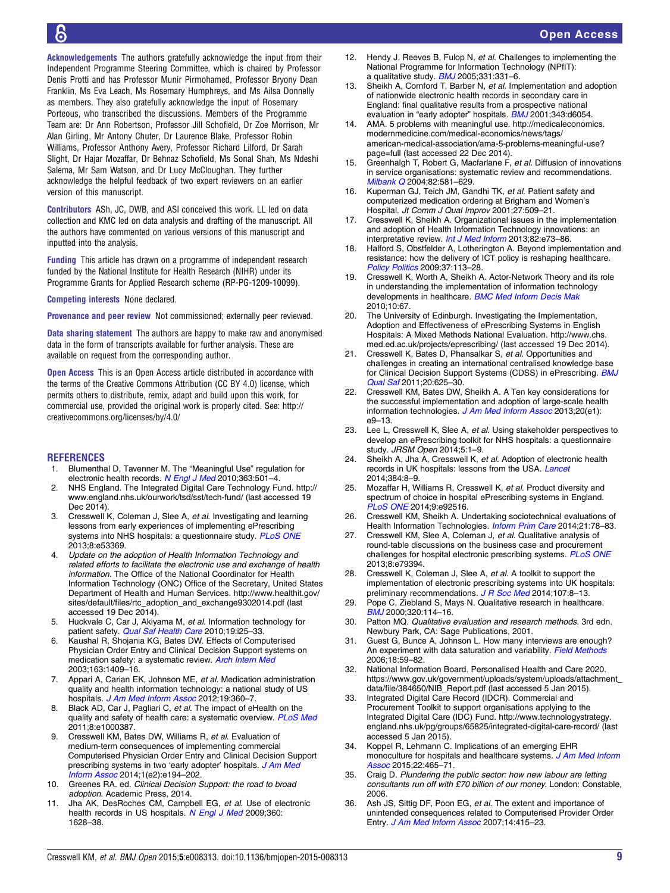<span id="page-9-0"></span>Acknowledgements The authors gratefully acknowledge the input from their Independent Programme Steering Committee, which is chaired by Professor Denis Protti and has Professor Munir Pirmohamed, Professor Bryony Dean Franklin, Ms Eva Leach, Ms Rosemary Humphreys, and Ms Ailsa Donnelly as members. They also gratefully acknowledge the input of Rosemary Porteous, who transcribed the discussions. Members of the Programme Team are: Dr Ann Robertson, Professor Jill Schofield, Dr Zoe Morrison, Mr Alan Girling, Mr Antony Chuter, Dr Laurence Blake, Professor Robin Williams, Professor Anthony Avery, Professor Richard Lilford, Dr Sarah Slight, Dr Hajar Mozaffar, Dr Behnaz Schofield, Ms Sonal Shah, Ms Ndeshi Salema, Mr Sam Watson, and Dr Lucy McCloughan. They further acknowledge the helpful feedback of two expert reviewers on an earlier version of this manuscript.

Contributors ASh, JC, DWB, and ASl conceived this work. LL led on data collection and KMC led on data analysis and drafting of the manuscript. All the authors have commented on various versions of this manuscript and inputted into the analysis.

Funding This article has drawn on a programme of independent research funded by the National Institute for Health Research (NIHR) under its Programme Grants for Applied Research scheme (RP-PG-1209-10099).

Competing interests None declared.

Provenance and peer review Not commissioned; externally peer reviewed.

Data sharing statement The authors are happy to make raw and anonymised data in the form of transcripts available for further analysis. These are available on request from the corresponding author.

Open Access This is an Open Access article distributed in accordance with the terms of the Creative Commons Attribution (CC BY 4.0) license, which permits others to distribute, remix, adapt and build upon this work, for commercial use, provided the original work is properly cited. See: [http://](http://creativecommons.org/licenses/by/4.0/) [creativecommons.org/licenses/by/4.0/](http://creativecommons.org/licenses/by/4.0/)

#### **REFERENCES**

- 1. Blumenthal D, Tavenner M. The "Meaningful Use" regulation for electronic health records. [N Engl J Med](http://dx.doi.org/10.1056/NEJMp1006114) 2010;363:501-4.
- 2. NHS England. The Integrated Digital Care Technology Fund. [http://](http://www.england.nhs.uk/ourwork/tsd/sst/tech-fund/) [www.england.nhs.uk/ourwork/tsd/sst/tech-fund/](http://www.england.nhs.uk/ourwork/tsd/sst/tech-fund/) (last accessed 19 Dec 2014)
- 3. Cresswell K, Coleman J, Slee A, et al. Investigating and learning lessons from early experiences of implementing ePrescribing systems into NHS hospitals: a questionnaire study. [PLoS ONE](http://dx.doi.org/10.1371/journal.pone.0053369) 2013;8:e53369.
- 4. Update on the adoption of Health Information Technology and related efforts to facilitate the electronic use and exchange of health information. The Office of the National Coordinator for Health Information Technology (ONC) Office of the Secretary, United States Department of Health and Human Services. [http://www.healthit.gov/](http://www.healthit.gov/sites/default/files/rtc_adoption_and_exchange9302014.pdf) [sites/default/files/rtc\\_adoption\\_and\\_exchange9302014.pdf](http://www.healthit.gov/sites/default/files/rtc_adoption_and_exchange9302014.pdf) (last accessed 19 Dec 2014).
- 5. Huckvale C, Car J, Akiyama M, et al. Information technology for patient safety. [Qual Saf Health Care](http://dx.doi.org/10.1136/qshc.2009.038497) 2010;19:i25-33.
- 6. Kaushal R, Shojania KG, Bates DW. Effects of Computerised Physician Order Entry and Clinical Decision Support systems on medication safety: a systematic review. [Arch Intern Med](http://dx.doi.org/10.1001/archinte.163.12.1409) 2003;163:1409–16.
- 7. Appari A, Carian EK, Johnson ME, et al. Medication administration quality and health information technology: a national study of US hospitals. [J Am Med Inform Assoc](http://dx.doi.org/10.1136/amiajnl-2011-000289) 2012;19:360-7.
- 8. Black AD, Car J, Pagliari C, et al. The impact of eHealth on the quality and safety of health care: a systematic overview. [PLoS Med](http://dx.doi.org/10.1371/journal.pmed.1000387) 2011;8:e1000387.
- 9. Cresswell KM, Bates DW, Williams R, et al. Evaluation of medium-term consequences of implementing commercial Computerised Physician Order Entry and Clinical Decision Support prescribing systems in two 'early adopter' hospitals. [J Am Med](http://dx.doi.org/10.1136/amiajnl-2013-002252) [Inform Assoc](http://dx.doi.org/10.1136/amiajnl-2013-002252) 2014;1(e2):e194–202.
- 10. Greenes RA. ed. Clinical Decision Support: the road to broad adoption. Academic Press, 2014.
- 11. Jha AK, DesRoches CM, Campbell EG, et al. Use of electronic health records in US hospitals. [N Engl J Med](http://dx.doi.org/10.1056/NEJMsa0900592) 2009;360: 1628–38.
- Hendy J, Reeves B, Fulop N, et al. Challenges to implementing the National Programme for Information Technology (NPfIT): a qualitative study. **[BMJ](http://dx.doi.org/10.1136/bmj.331.7512.331)** 2005;331:331-6.
- 13. Sheikh A, Cornford T, Barber N, et al. Implementation and adoption of nationwide electronic health records in secondary care in England: final qualitative results from a prospective national evaluation in "early adopter" hospitals. [BMJ](http://dx.doi.org/10.1136/bmj.d6054) 2001;343:d6054.
- 14. AMA. 5 problems with meaningful use. [http://medicaleconomics.](http://medicaleconomics.modernmedicine.com/medical-economics/news/tags/american-medical-association/ama-5-problems-meaningful-use?page=full) [modernmedicine.com/medical-economics/news/tags/](http://medicaleconomics.modernmedicine.com/medical-economics/news/tags/american-medical-association/ama-5-problems-meaningful-use?page=full) [american-medical-association/ama-5-problems-meaningful-use?](http://medicaleconomics.modernmedicine.com/medical-economics/news/tags/american-medical-association/ama-5-problems-meaningful-use?page=full) [page=full](http://medicaleconomics.modernmedicine.com/medical-economics/news/tags/american-medical-association/ama-5-problems-meaningful-use?page=full) (last accessed 22 Dec 2014).
- 15. Greenhalgh T, Robert G, Macfarlane F, et al. Diffusion of innovations in service organisations: systematic review and recommendations. [Milbank Q](http://dx.doi.org/10.1111/j.0887-378X.2004.00325.x) 2004;82:581-629.
- 16. Kuperman GJ, Teich JM, Gandhi TK, et al. Patient safety and computerized medication ordering at Brigham and Women's Hospital. Jt Comm J Qual Improv 2001;27:509–21.
- 17. Cresswell K, Sheikh A. Organizational issues in the implementation and adoption of Health Information Technology innovations: an interpretative review. [Int J Med Inform](http://dx.doi.org/10.1016/j.ijmedinf.2012.10.007) 2013;82:e73-86.
- 18. Halford S, Obstfelder A, Lotherington A. Beyond implementation and resistance: how the delivery of ICT policy is reshaping healthcare. [Policy Politics](http://dx.doi.org/10.1332/030557308X313714) 2009;37:113-28.
- 19. Cresswell K, Worth A, Sheikh A. Actor-Network Theory and its role in understanding the implementation of information technology developments in healthcare. **[BMC Med Inform Decis Mak](http://dx.doi.org/10.1186/1472-6947-10-67)** 2010;10:67.
- 20. The University of Edinburgh. Investigating the Implementation, Adoption and Effectiveness of ePrescribing Systems in English Hospitals: A Mixed Methods National Evaluation. [http://www.chs.](http://www.chs.med.ed.ac.uk/projects/eprescribing/) [med.ed.ac.uk/projects/eprescribing/](http://www.chs.med.ed.ac.uk/projects/eprescribing/) (last accessed 19 Dec 2014).
- 21. Cresswell K, Bates D, Phansalkar S, et al. Opportunities and challenges in creating an international centralised knowledge base for Clinical Decision Support Systems (CDSS) in ePrescribing. **[BMJ](http://dx.doi.org/10.1136/bmjqs.2010.048934)** [Qual Saf](http://dx.doi.org/10.1136/bmjqs.2010.048934) 2011;20:625–30.
- 22. Cresswell KM, Bates DW, Sheikh A. A Ten key considerations for the successful implementation and adoption of large-scale health information technologies. [J Am Med Inform Assoc](http://dx.doi.org/10.1136/amiajnl-2013-001684) 2013;20(e1): e9–13.
- 23. Lee L, Cresswell K, Slee A, et al. Using stakeholder perspectives to develop an ePrescribing toolkit for NHS hospitals: a questionnaire study. JRSM Open 2014;5:1–9.
- 24. Sheikh A, Jha A, Cresswell K, et al. Adoption of electronic health records in UK hospitals: lessons from the USA. [Lancet](http://dx.doi.org/10.1016/S0140-6736(14)61099-0) 2014;384:8–9.
- 25. Mozaffar H, Williams R, Cresswell K, et al. Product diversity and spectrum of choice in hospital ePrescribing systems in England. [PLoS ONE](http://dx.doi.org/10.1371/journal.pone.0092516) 2014;9:e92516.
- 26. Cresswell KM, Sheikh A. Undertaking sociotechnical evaluations of Health Information Technologies. [Inform Prim Care](http://dx.doi.org/10.14236/jhi.v21i2.54) 2014;21:78-83.
- 27. Cresswell KM, Slee A, Coleman J, et al. Qualitative analysis of round-table discussions on the business case and procurement challenges for hospital electronic prescribing systems. [PLoS ONE](http://dx.doi.org/10.1371/journal.pone.0079394) 2013;8:e79394.
- 28. Cresswell K, Coleman J, Slee A, et al. A toolkit to support the implementation of electronic prescribing systems into UK hospitals: preliminary recommendations. [J R Soc Med](http://dx.doi.org/10.1177/0141076813502955) 2014;107:8-13.
- 29. Pope C, Ziebland S, Mays N. Qualitative research in healthcare. [BMJ](http://dx.doi.org/10.1136/bmj.320.7227.114) 2000;320:114–16.
- 30. Patton MQ. Qualitative evaluation and research methods. 3rd edn. Newbury Park, CA: Sage Publications, 2001.
- 31. Guest G, Bunce A, Johnson L. How many interviews are enough? An experiment with data saturation and variability. [Field Methods](http://dx.doi.org/10.1177/1525822X05279903) 2006;18:59–82.
- 32. National Information Board. Personalised Health and Care 2020. [https://www.gov.uk/government/uploads/system/uploads/attachment\\_](https://www.gov.uk/government/uploads/system/uploads/attachment_data/file/384650/NIB_Report.pdf) [data/file/384650/NIB\\_Report.pdf](https://www.gov.uk/government/uploads/system/uploads/attachment_data/file/384650/NIB_Report.pdf) (last accessed 5 Jan 2015).
- 33. Integrated Digital Care Record (IDCR). Commercial and Procurement Toolkit to support organisations applying to the Integrated Digital Care (IDC) Fund. [http://www.technologystrategy.](http://www.technologystrategy.england.nhs.uk/pg/groups/65825/integrated-digital-care-record/) [england.nhs.uk/pg/groups/65825/integrated-digital-care-record/](http://www.technologystrategy.england.nhs.uk/pg/groups/65825/integrated-digital-care-record/) (last accessed 5 Jan 2015).
- 34. Koppel R, Lehmann C. Implications of an emerging EHR monoculture for hospitals and healthcare systems. [J Am Med Inform](http://dx.doi.org/10.1136/amiajnl-2014-003023) [Assoc](http://dx.doi.org/10.1136/amiajnl-2014-003023) 2015;22:465-71.
- 35. Craig D. Plundering the public sector: how new labour are letting consultants run off with £70 billion of our money. London: Constable, 2006.
- 36. Ash JS, Sittig DF, Poon EG, et al. The extent and importance of unintended consequences related to Computerised Provider Order Entry. [J Am Med Inform Assoc](http://dx.doi.org/10.1197/jamia.M2373) 2007;14:415-23.